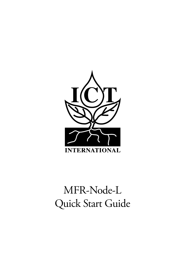

# MFR-Node-L Quick Start Guide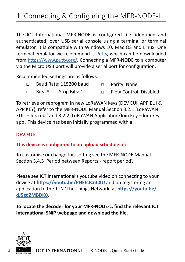The ICT International MFR-NODE is configured (i.e. identified and authenticated) over USB serial console using a terminal or terminal emulator. It is compatible with Windows 10, Mac OS and Linux. One terminal emulator we recommend is Putty, which can be downloaded from https://www.putty.org/. Connecting a MFR-NODE to a computer via the Micro USB port will provide a serial port for configuration.

Recommended settings are as follows:

- □ Baud Rate: 115200 baud □ Parity: None
- □ Bits: 8 | Stop Bits: 1 □ Flow Control: Disabled.

To retrieve or reprogram in new LoRaWAN keys (DEV EUI, APP EUI & APP KEY), refer to the MFR-NODE Manual Section 3.2.1 'LoRaWAN EUIs – lora eui' and 3.2.2 'LoRaWAN Application/Join Key – lora key app'. This device has been initially programmed with a

#### **DEV EUI:**

### **This device is configured to an upload schedule of:**

To customise or change this setting see the MFR-NODE Manual Section 3.4.3 'Period between Reports - report period'.

Please see ICT International's youtube video on connecting to your device at **https://youtu.be/PNkfcJCnCXU** and on registering an application to the TTN 'The Things Network' at **https://youtu.be/ dJ5gdZMBDK0**.

**To locate the decoder for your MFR-NODE-L, find the relevant ICT International SNiP webpage and download the file.**

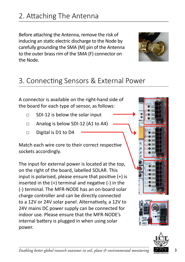Before attaching the Antenna, remove the risk of inducing an static electric discharge to the Node by carefully grounding the SMA (M) pin of the Antenna to the outer brass rim of the SMA (F) connector on the Node.



### 3. Connecting Sensors & External Power

A connector is available on the right-hand side of the board for each type of sensor, as follows:

- □ SDI-12 is below the solar input
- □ Analog is below SDI-12 (A1 to A4)
- □ Digital is D1 to D4

Match each wire core to their correct respective sockets accordingly.

The input for external power is located at the top, on the right of the board, labelled SOLAR. This input is polarised, please ensure that positive (+) is inserted in the (+) terminal and negative (-) in the (-) terminal. The MFR-NODE has an on-board solar charge controller and can be directly connected to a 12V or 24V solar panel. Alternatively, a 12V to 24V mains DC power supply can be connected for indoor use. Please ensure that the MFR-NODE's internal battery is plugged in when using solar power.